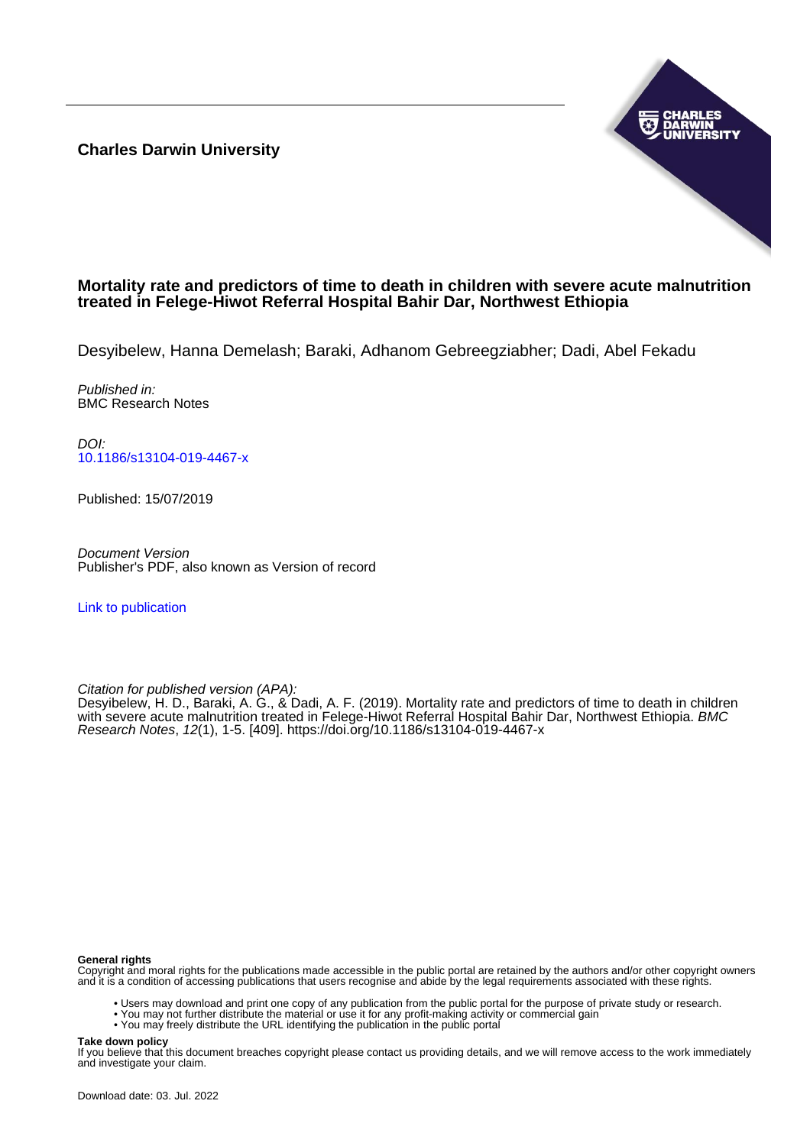**Charles Darwin University**



# **Mortality rate and predictors of time to death in children with severe acute malnutrition treated in Felege-Hiwot Referral Hospital Bahir Dar, Northwest Ethiopia**

Desyibelew, Hanna Demelash; Baraki, Adhanom Gebreegziabher; Dadi, Abel Fekadu

Published in: BMC Research Notes

DOI: [10.1186/s13104-019-4467-x](https://doi.org/10.1186/s13104-019-4467-x)

Published: 15/07/2019

Document Version Publisher's PDF, also known as Version of record

[Link to publication](https://researchers.cdu.edu.au/en/publications/3e88163b-017e-4e3f-9604-f0cf897d2c07)

Citation for published version (APA):

Desyibelew, H. D., Baraki, A. G., & Dadi, A. F. (2019). Mortality rate and predictors of time to death in children with severe acute malnutrition treated in Felege-Hiwot Referral Hospital Bahir Dar, Northwest Ethiopia. BMC Research Notes, 12(1), 1-5. [409]. <https://doi.org/10.1186/s13104-019-4467-x>

### **General rights**

Copyright and moral rights for the publications made accessible in the public portal are retained by the authors and/or other copyright owners and it is a condition of accessing publications that users recognise and abide by the legal requirements associated with these rights.

- Users may download and print one copy of any publication from the public portal for the purpose of private study or research.
- You may not further distribute the material or use it for any profit-making activity or commercial gain
- You may freely distribute the URL identifying the publication in the public portal

#### **Take down policy**

If you believe that this document breaches copyright please contact us providing details, and we will remove access to the work immediately and investigate your claim.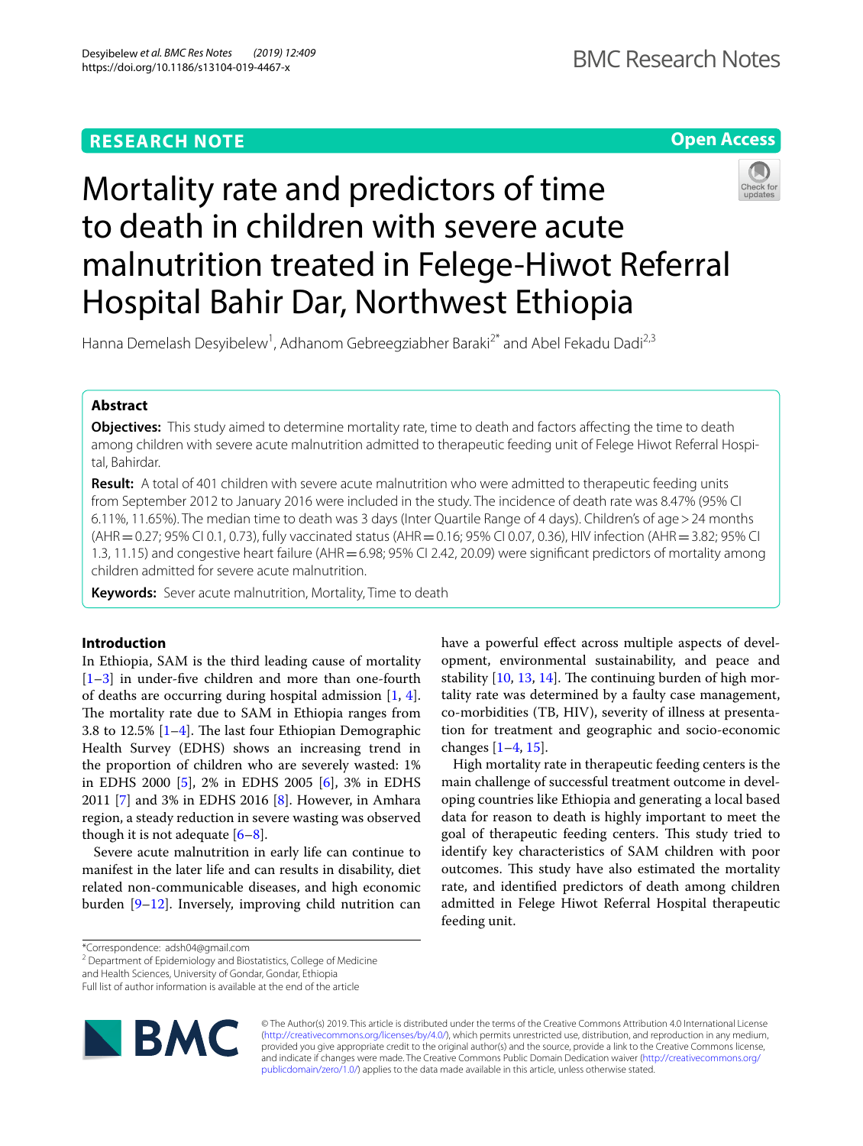# **RESEARCH NOTE**





Hanna Demelash Desyibelew<sup>1</sup>, Adhanom Gebreegziabher Baraki<sup>2\*</sup> and Abel Fekadu Dadi<sup>2,3</sup>

# **Abstract**

**Objectives:** This study aimed to determine mortality rate, time to death and factors affecting the time to death among children with severe acute malnutrition admitted to therapeutic feeding unit of Felege Hiwot Referral Hospital, Bahirdar.

**Result:** A total of 401 children with severe acute malnutrition who were admitted to therapeutic feeding units from September 2012 to January 2016 were included in the study. The incidence of death rate was 8.47% (95% CI 6.11%, 11.65%). The median time to death was 3 days (Inter Quartile Range of 4 days). Children's of age>24 months (AHR = 0.27; 95% CI 0.1, 0.73), fully vaccinated status (AHR = 0.16; 95% CI 0.07, 0.36), HIV infection (AHR = 3.82; 95% CI 1.3, 11.15) and congestive heart failure (AHR = 6.98; 95% CI 2.42, 20.09) were significant predictors of mortality among children admitted for severe acute malnutrition.

**Keywords:** Sever acute malnutrition, Mortality, Time to death

## **Introduction**

In Ethiopia, SAM is the third leading cause of mortality [[1–](#page-5-0)[3\]](#page-5-1) in under-fve children and more than one-fourth of deaths are occurring during hospital admission [[1,](#page-5-0) [4](#page-5-2)]. The mortality rate due to SAM in Ethiopia ranges from 3.8 to 12.5%  $[1-4]$  $[1-4]$  $[1-4]$ . The last four Ethiopian Demographic Health Survey (EDHS) shows an increasing trend in the proportion of children who are severely wasted: 1% in EDHS 2000 [[5\]](#page-5-3), 2% in EDHS 2005 [\[6](#page-5-4)], 3% in EDHS 2011 [\[7](#page-5-5)] and 3% in EDHS 2016 [[8](#page-5-6)]. However, in Amhara region, a steady reduction in severe wasting was observed though it is not adequate  $[6-8]$  $[6-8]$  $[6-8]$ .

Severe acute malnutrition in early life can continue to manifest in the later life and can results in disability, diet related non-communicable diseases, and high economic burden [[9–](#page-5-7)[12\]](#page-5-8). Inversely, improving child nutrition can have a powerful effect across multiple aspects of development, environmental sustainability, and peace and stability  $[10, 13, 14]$  $[10, 13, 14]$  $[10, 13, 14]$  $[10, 13, 14]$  $[10, 13, 14]$ . The continuing burden of high mortality rate was determined by a faulty case management, co-morbidities (TB, HIV), severity of illness at presentation for treatment and geographic and socio-economic changes  $[1-4, 15]$  $[1-4, 15]$  $[1-4, 15]$  $[1-4, 15]$ .

High mortality rate in therapeutic feeding centers is the main challenge of successful treatment outcome in developing countries like Ethiopia and generating a local based data for reason to death is highly important to meet the goal of therapeutic feeding centers. This study tried to identify key characteristics of SAM children with poor outcomes. This study have also estimated the mortality rate, and identifed predictors of death among children admitted in Felege Hiwot Referral Hospital therapeutic feeding unit.

<sup>2</sup> Department of Epidemiology and Biostatistics, College of Medicine

Full list of author information is available at the end of the article



© The Author(s) 2019. This article is distributed under the terms of the Creative Commons Attribution 4.0 International License [\(http://creativecommons.org/licenses/by/4.0/\)](http://creativecommons.org/licenses/by/4.0/), which permits unrestricted use, distribution, and reproduction in any medium, provided you give appropriate credit to the original author(s) and the source, provide a link to the Creative Commons license, and indicate if changes were made. The Creative Commons Public Domain Dedication waiver ([http://creativecommons.org/](http://creativecommons.org/publicdomain/zero/1.0/) [publicdomain/zero/1.0/](http://creativecommons.org/publicdomain/zero/1.0/)) applies to the data made available in this article, unless otherwise stated.

<sup>\*</sup>Correspondence: adsh04@gmail.com

and Health Sciences, University of Gondar, Gondar, Ethiopia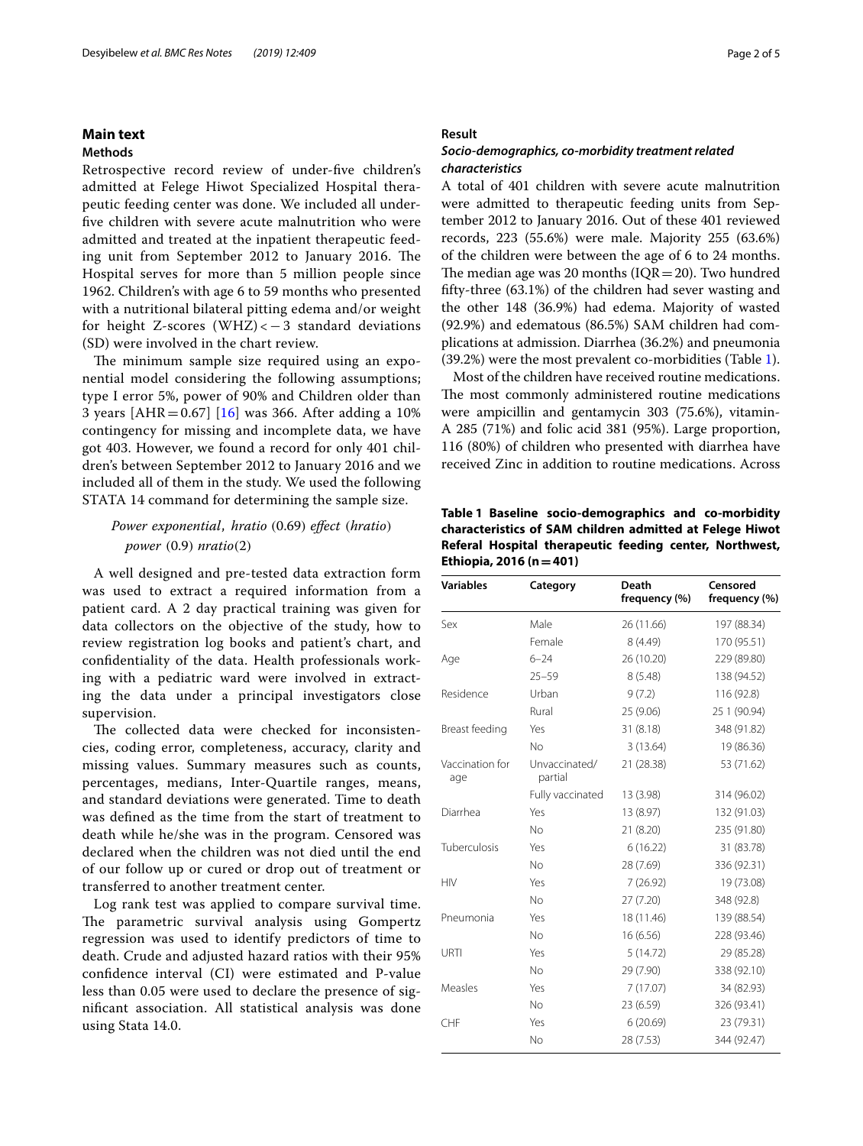## **Main text**

## **Methods**

Retrospective record review of under-fve children's admitted at Felege Hiwot Specialized Hospital therapeutic feeding center was done. We included all underfve children with severe acute malnutrition who were admitted and treated at the inpatient therapeutic feeding unit from September 2012 to January 2016. The Hospital serves for more than 5 million people since 1962. Children's with age 6 to 59 months who presented with a nutritional bilateral pitting edema and/or weight for height Z-scores (WHZ)  $<-3$  standard deviations (SD) were involved in the chart review.

The minimum sample size required using an exponential model considering the following assumptions; type I error 5%, power of 90% and Children older than 3 years [AHR =  $0.67$ ] [\[16](#page-5-13)] was 366. After adding a 10% contingency for missing and incomplete data, we have got 403. However, we found a record for only 401 children's between September 2012 to January 2016 and we included all of them in the study. We used the following STATA 14 command for determining the sample size.

## Power exponential, hratio (0.69) effect (hratio) power (0.9) nratio(2)

A well designed and pre-tested data extraction form was used to extract a required information from a patient card. A 2 day practical training was given for data collectors on the objective of the study, how to review registration log books and patient's chart, and confdentiality of the data. Health professionals working with a pediatric ward were involved in extracting the data under a principal investigators close supervision.

The collected data were checked for inconsistencies, coding error, completeness, accuracy, clarity and missing values. Summary measures such as counts, percentages, medians, Inter-Quartile ranges, means, and standard deviations were generated. Time to death was defned as the time from the start of treatment to death while he/she was in the program. Censored was declared when the children was not died until the end of our follow up or cured or drop out of treatment or transferred to another treatment center.

Log rank test was applied to compare survival time. The parametric survival analysis using Gompertz regression was used to identify predictors of time to death. Crude and adjusted hazard ratios with their 95% confdence interval (CI) were estimated and P-value less than 0.05 were used to declare the presence of signifcant association. All statistical analysis was done using Stata 14.0.

## **Result**

## *Socio‑demographics, co‑morbidity treatment related characteristics*

A total of 401 children with severe acute malnutrition were admitted to therapeutic feeding units from September 2012 to January 2016. Out of these 401 reviewed records, 223 (55.6%) were male. Majority 255 (63.6%) of the children were between the age of 6 to 24 months. The median age was 20 months  $(IQR=20)$ . Two hundred ffty-three (63.1%) of the children had sever wasting and the other 148 (36.9%) had edema. Majority of wasted (92.9%) and edematous (86.5%) SAM children had complications at admission. Diarrhea (36.2%) and pneumonia (39.2%) were the most prevalent co-morbidities (Table [1](#page-2-0)).

Most of the children have received routine medications. The most commonly administered routine medications were ampicillin and gentamycin 303 (75.6%), vitamin-A 285 (71%) and folic acid 381 (95%). Large proportion, 116 (80%) of children who presented with diarrhea have received Zinc in addition to routine medications. Across

<span id="page-2-0"></span>**Table 1 Baseline socio-demographics and co-morbidity characteristics of SAM children admitted at Felege Hiwot Referal Hospital therapeutic feeding center, Northwest, Ethiopia, 2016 (n=401)**

| <b>Variables</b>       | Category                 | Death<br>frequency (%) | Censored<br>frequency (%) |
|------------------------|--------------------------|------------------------|---------------------------|
| Sex                    | Male                     | 26 (11.66)             | 197 (88.34)               |
|                        | Female                   | 8 (4.49)               | 170 (95.51)               |
| Age                    | $6 - 24$                 | 26 (10.20)             | 229 (89.80)               |
|                        | $25 - 59$                | 8(5.48)                | 138 (94.52)               |
| Residence              | Urban                    | 9(7.2)                 | 116 (92.8)                |
|                        | Rural                    | 25 (9.06)              | 25 1 (90.94)              |
| Breast feeding         | Yes                      | 31 (8.18)              | 348 (91.82)               |
|                        | No                       | 3(13.64)               | 19 (86.36)                |
| Vaccination for<br>age | Unvaccinated/<br>partial | 21 (28.38)             | 53 (71.62)                |
|                        | Fully vaccinated         | 13 (3.98)              | 314 (96.02)               |
| Diarrhea               | Yes                      | 13 (8.97)              | 132 (91.03)               |
|                        | No                       | 21 (8.20)              | 235 (91.80)               |
| Tuberculosis           | Yes                      | 6(16.22)               | 31 (83.78)                |
|                        | <b>No</b>                | 28 (7.69)              | 336 (92.31)               |
| HIV                    | Yes                      | 7(26.92)               | 19 (73.08)                |
|                        | No                       | 27(7.20)               | 348 (92.8)                |
| Pneumonia              | Yes                      | 18 (11.46)             | 139 (88.54)               |
|                        | <b>No</b>                | 16(6.56)               | 228 (93.46)               |
| URTI                   | Yes                      | 5(14.72)               | 29 (85.28)                |
|                        | <b>No</b>                | 29 (7.90)              | 338 (92.10)               |
| Measles                | Yes                      | 7(17.07)               | 34 (82.93)                |
|                        | <b>No</b>                | 23 (6.59)              | 326 (93.41)               |
| CHF                    | Yes                      | 6(20.69)               | 23 (79.31)                |
|                        | <b>No</b>                | 28 (7.53)              | 344 (92.47)               |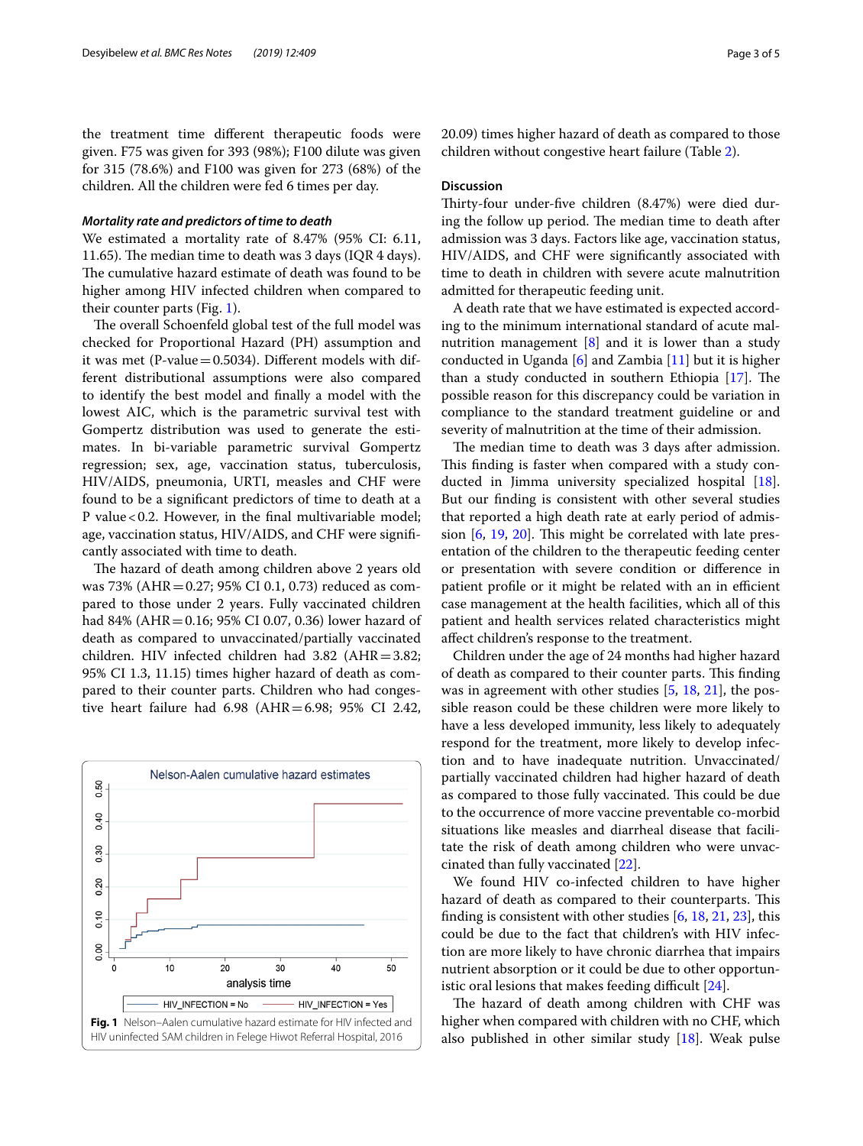the treatment time diferent therapeutic foods were given. F75 was given for 393 (98%); F100 dilute was given for 315 (78.6%) and F100 was given for 273 (68%) of the children. All the children were fed 6 times per day.

### *Mortality rate and predictors of time to death*

We estimated a mortality rate of 8.47% (95% CI: 6.11, 11.65). The median time to death was 3 days (IQR 4 days). The cumulative hazard estimate of death was found to be higher among HIV infected children when compared to their counter parts (Fig. [1\)](#page-3-0).

The overall Schoenfeld global test of the full model was checked for Proportional Hazard (PH) assumption and it was met (P-value  $=$  0.5034). Different models with different distributional assumptions were also compared to identify the best model and fnally a model with the lowest AIC, which is the parametric survival test with Gompertz distribution was used to generate the estimates. In bi-variable parametric survival Gompertz regression; sex, age, vaccination status, tuberculosis, HIV/AIDS, pneumonia, URTI, measles and CHF were found to be a signifcant predictors of time to death at a P value<0.2. However, in the fnal multivariable model; age, vaccination status, HIV/AIDS, and CHF were signifcantly associated with time to death.

The hazard of death among children above 2 years old was 73% (AHR=0.27; 95% CI 0.1, 0.73) reduced as compared to those under 2 years. Fully vaccinated children had 84% (AHR=0.16; 95% CI 0.07, 0.36) lower hazard of death as compared to unvaccinated/partially vaccinated children. HIV infected children had 3.82 (AHR=3.82; 95% CI 1.3, 11.15) times higher hazard of death as compared to their counter parts. Children who had congestive heart failure had 6.98 (AHR=6.98; 95% CI 2.42,

<span id="page-3-0"></span>

20.09) times higher hazard of death as compared to those children without congestive heart failure (Table [2](#page-4-0)).

### **Discussion**

Thirty-four under-five children (8.47%) were died during the follow up period. The median time to death after admission was 3 days. Factors like age, vaccination status, HIV/AIDS, and CHF were signifcantly associated with time to death in children with severe acute malnutrition admitted for therapeutic feeding unit.

A death rate that we have estimated is expected according to the minimum international standard of acute malnutrition management  $\begin{bmatrix} 8 \end{bmatrix}$  and it is lower than a study conducted in Uganda  $[6]$  $[6]$  and Zambia  $[11]$  $[11]$  but it is higher than a study conducted in southern Ethiopia  $[17]$  $[17]$ . The possible reason for this discrepancy could be variation in compliance to the standard treatment guideline or and severity of malnutrition at the time of their admission.

The median time to death was 3 days after admission. This finding is faster when compared with a study con-ducted in Jimma university specialized hospital [\[18](#page-5-16)]. But our fnding is consistent with other several studies that reported a high death rate at early period of admission  $[6, 19, 20]$  $[6, 19, 20]$  $[6, 19, 20]$  $[6, 19, 20]$  $[6, 19, 20]$ . This might be correlated with late presentation of the children to the therapeutic feeding center or presentation with severe condition or diference in patient profile or it might be related with an in efficient case management at the health facilities, which all of this patient and health services related characteristics might afect children's response to the treatment.

Children under the age of 24 months had higher hazard of death as compared to their counter parts. This finding was in agreement with other studies [\[5](#page-5-3), [18](#page-5-16), [21](#page-5-19)], the possible reason could be these children were more likely to have a less developed immunity, less likely to adequately respond for the treatment, more likely to develop infection and to have inadequate nutrition. Unvaccinated/ partially vaccinated children had higher hazard of death as compared to those fully vaccinated. This could be due to the occurrence of more vaccine preventable co-morbid situations like measles and diarrheal disease that facilitate the risk of death among children who were unvaccinated than fully vaccinated [\[22\]](#page-5-20).

We found HIV co-infected children to have higher hazard of death as compared to their counterparts. This finding is consistent with other studies  $[6, 18, 21, 23]$  $[6, 18, 21, 23]$  $[6, 18, 21, 23]$  $[6, 18, 21, 23]$  $[6, 18, 21, 23]$  $[6, 18, 21, 23]$ , this could be due to the fact that children's with HIV infection are more likely to have chronic diarrhea that impairs nutrient absorption or it could be due to other opportunistic oral lesions that makes feeding difficult  $[24]$  $[24]$  $[24]$ .

The hazard of death among children with CHF was higher when compared with children with no CHF, which also published in other similar study [\[18\]](#page-5-16). Weak pulse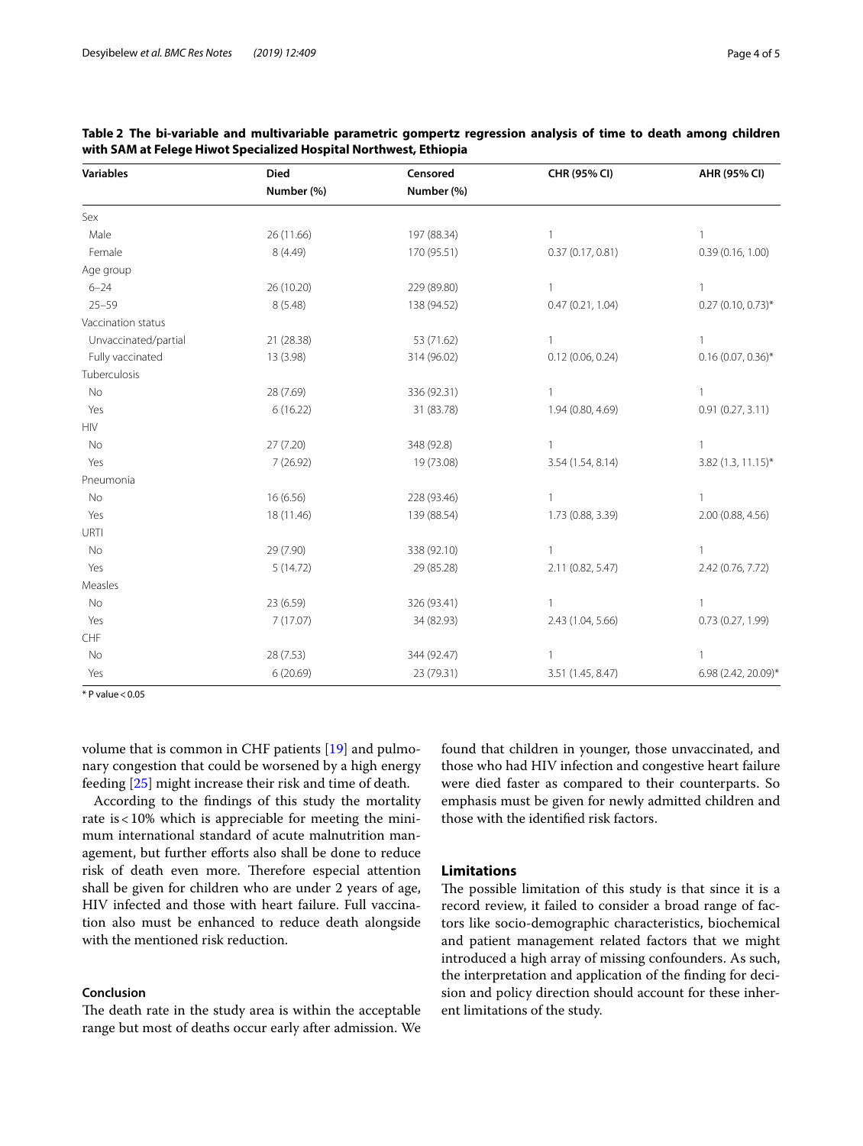| <b>Variables</b>                                                | <b>Died</b> | Censored    | CHR (95% CI)      | AHR (95% CI)         |
|-----------------------------------------------------------------|-------------|-------------|-------------------|----------------------|
|                                                                 | Number (%)  | Number (%)  |                   |                      |
| Sex                                                             |             |             |                   |                      |
| Male                                                            | 26 (11.66)  | 197 (88.34) | 1                 | $\mathbf{1}$         |
| Female                                                          | 8 (4.49)    | 170 (95.51) | 0.37(0.17, 0.81)  | 0.39(0.16, 1.00)     |
| Age group                                                       |             |             |                   |                      |
| $6 - 24$                                                        | 26 (10.20)  | 229 (89.80) | $\mathbf{1}$      | $\mathbf{1}$         |
| $25 - 59$                                                       | 8(5.48)     | 138 (94.52) | 0.47(0.21, 1.04)  | $0.27(0.10, 0.73)$ * |
| Vaccination status                                              |             |             |                   |                      |
| Unvaccinated/partial                                            | 21 (28.38)  | 53 (71.62)  | 1                 | -1                   |
| Fully vaccinated                                                | 13 (3.98)   | 314 (96.02) | 0.12(0.06, 0.24)  | $0.16(0.07, 0.36)^*$ |
| Tuberculosis                                                    |             |             |                   |                      |
| No                                                              | 28 (7.69)   | 336 (92.31) | $\mathbf{1}$      | $\mathbf{1}$         |
| Yes                                                             | 6(16.22)    | 31 (83.78)  | 1.94 (0.80, 4.69) | 0.91(0.27, 3.11)     |
| $\ensuremath{\mathsf{H}}\xspace\ensuremath{\mathsf{IV}}\xspace$ |             |             |                   |                      |
| No                                                              | 27 (7.20)   | 348 (92.8)  | 1                 | 1                    |
| Yes                                                             | 7(26.92)    | 19 (73.08)  | 3.54 (1.54, 8.14) | $3.82$ (1.3, 11.15)* |
| Pneumonia                                                       |             |             |                   |                      |
| No                                                              | 16(6.56)    | 228 (93.46) | $\mathbf{1}$      | $\mathbf{1}$         |
| Yes                                                             | 18 (11.46)  | 139 (88.54) | 1.73 (0.88, 3.39) | 2.00 (0.88, 4.56)    |
| URTI                                                            |             |             |                   |                      |
| No                                                              | 29 (7.90)   | 338 (92.10) | 1                 | 1                    |
| Yes                                                             | 5(14.72)    | 29 (85.28)  | 2.11 (0.82, 5.47) | 2.42 (0.76, 7.72)    |
| Measles                                                         |             |             |                   |                      |
| No                                                              | 23 (6.59)   | 326 (93.41) | 1                 | $\mathbf{1}$         |
| Yes                                                             | 7(17.07)    | 34 (82.93)  | 2.43 (1.04, 5.66) | 0.73 (0.27, 1.99)    |
| CHF                                                             |             |             |                   |                      |
| No                                                              | 28 (7.53)   | 344 (92.47) | 1                 | -1                   |
| Yes                                                             | 6(20.69)    | 23 (79.31)  | 3.51 (1.45, 8.47) | 6.98 (2.42, 20.09)*  |

## <span id="page-4-0"></span>**Table 2 The bi-variable and multivariable parametric gompertz regression analysis of time to death among children with SAM at Felege Hiwot Specialized Hospital Northwest, Ethiopia**

 $*$  P value < 0.05

volume that is common in CHF patients [\[19](#page-5-17)] and pulmonary congestion that could be worsened by a high energy feeding [\[25](#page-5-23)] might increase their risk and time of death.

According to the fndings of this study the mortality rate is  $<$  10% which is appreciable for meeting the minimum international standard of acute malnutrition management, but further efforts also shall be done to reduce risk of death even more. Therefore especial attention shall be given for children who are under 2 years of age, HIV infected and those with heart failure. Full vaccination also must be enhanced to reduce death alongside with the mentioned risk reduction.

## **Conclusion**

The death rate in the study area is within the acceptable range but most of deaths occur early after admission. We found that children in younger, those unvaccinated, and those who had HIV infection and congestive heart failure were died faster as compared to their counterparts. So emphasis must be given for newly admitted children and those with the identifed risk factors.

## **Limitations**

The possible limitation of this study is that since it is a record review, it failed to consider a broad range of factors like socio-demographic characteristics, biochemical and patient management related factors that we might introduced a high array of missing confounders. As such, the interpretation and application of the fnding for decision and policy direction should account for these inherent limitations of the study.